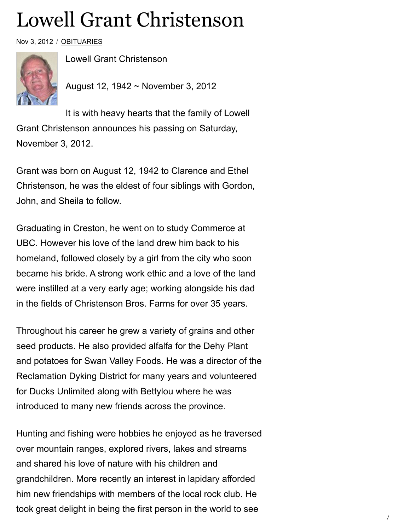## Lowell Grant Christenson

Nov 3, 2012 / [OBITUARIES](https://www.bclocalnews.com/obituaries/)



Lowell Grant Christenson

August 12, 1942 ~ November 3, 2012

It is with heavy hearts that the family of Lowell Grant Christenson announces his passing on Saturday, November 3, 2012.

Grant was born on August 12, 1942 to Clarence and Ethel Christenson, he was the eldest of four siblings with Gordon, John, and Sheila to follow.

Graduating in Creston, he went on to study Commerce at UBC. However his love of the land drew him back to his homeland, followed closely by a girl from the city who soon became his bride. A strong work ethic and a love of the land were instilled at a very early age; working alongside his dad in the fields of Christenson Bros. Farms for over 35 years.

Throughout his career he grew a variety of grains and other seed products. He also provided alfalfa for the Dehy Plant and potatoes for Swan Valley Foods. He was a director of the Reclamation Dyking District for many years and volunteered for Ducks Unlimited along with Bettylou where he was introduced to many new friends across the province.

Hunting and fishing were hobbies he enjoyed as he traversed over mountain ranges, explored rivers, lakes and streams and shared his love of nature with his children and grandchildren. More recently an interest in lapidary afforded him new friendships with members of the local rock club. He took great delight in being the first person in the world to see